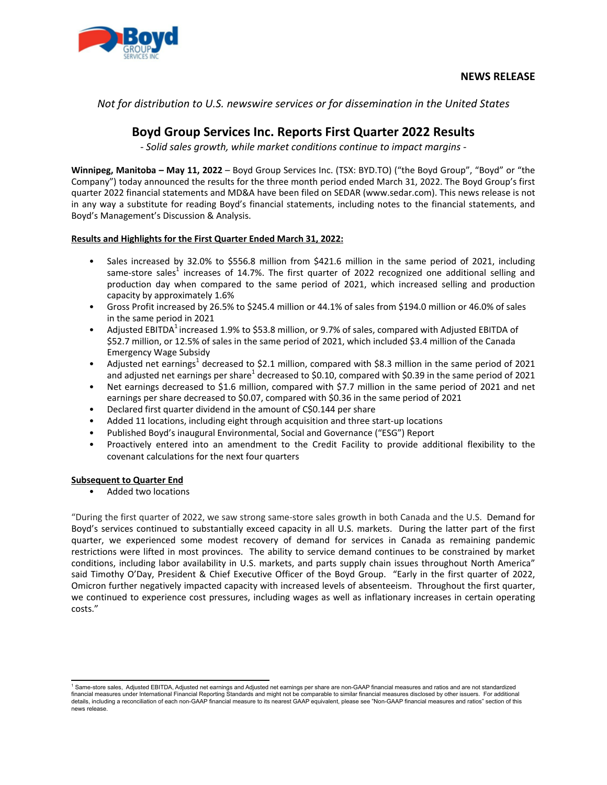

*Not for distribution to U.S. newswire services or for dissemination in the United States* 

# Boyd Group Services Inc. Reports First Quarter 2022 Results

- Solid sales growth, while market conditions continue to impact margins -

**Winnipeg, Manitoba – May 11, 2022** – Boyd Group Services Inc. (TSX: BYD.TO) ("the Boyd Group", "Boyd" or "the Company") today announced the results for the three month period ended March 31, 2022. The Boyd Group's first guarter 2022 financial statements and MD&A have been filed on SEDAR (www.sedar.com). This news release is not in any way a substitute for reading Boyd's financial statements, including notes to the financial statements, and Boyd's Management's Discussion & Analysis.

## **Results and Highlights for the First Quarter Ended March 31, 2022:**

- Sales increased by 32.0% to \$556.8 million from \$421.6 million in the same period of 2021, including same-store sales<sup>1</sup> increases of 14.7%. The first quarter of 2022 recognized one additional selling and production day when compared to the same period of 2021, which increased selling and production capacity by approximately 1.6%
- Gross Profit increased by 26.5% to \$245.4 million or 44.1% of sales from \$194.0 million or 46.0% of sales in the same period in 2021
- Adjusted EBITDA<sup>1</sup> increased 1.9% to \$53.8 million, or 9.7% of sales, compared with Adjusted EBITDA of \$52.7 million, or 12.5% of sales in the same period of 2021, which included \$3.4 million of the Canada Emergency Wage Subsidy
- Adjusted net earnings<sup>1</sup> decreased to \$2.1 million, compared with \$8.3 million in the same period of 2021 and adjusted net earnings per share<sup>1</sup> decreased to \$0.10, compared with \$0.39 in the same period of 2021
- Net earnings decreased to \$1.6 million, compared with \$7.7 million in the same period of 2021 and net earnings per share decreased to \$0.07, compared with \$0.36 in the same period of 2021
- Declared first quarter dividend in the amount of C\$0.144 per share
- Added 11 locations, including eight through acquisition and three start-up locations
- Published Boyd's inaugural Environmental, Social and Governance ("ESG") Report
- Proactively entered into an amendment to the Credit Facility to provide additional flexibility to the covenant calculations for the next four quarters

# **Subsequent to Quarter End**

Added two locations

"During the first quarter of 2022, we saw strong same-store sales growth in both Canada and the U.S. Demand for Boyd's services continued to substantially exceed capacity in all U.S. markets. During the latter part of the first quarter, we experienced some modest recovery of demand for services in Canada as remaining pandemic restrictions were lifted in most provinces. The ability to service demand continues to be constrained by market conditions, including labor availability in U.S. markets, and parts supply chain issues throughout North America" said Timothy O'Day, President & Chief Executive Officer of the Boyd Group. "Early in the first quarter of 2022, Omicron further negatively impacted capacity with increased levels of absenteeism. Throughout the first quarter, we continued to experience cost pressures, including wages as well as inflationary increases in certain operating costs."

<sup>&</sup>lt;sup>1</sup> Same-store sales, Adjusted EBITDA, Adjusted net earnings and Adjusted net earnings per share are non-GAAP financial measures and ratios and are not standardized financial measures under International Financial Reporting Standards and might not be comparable to similar financial measures disclosed by other issuers. For additional details, including a reconciliation of each non-GAAP financial measure to its nearest GAAP equivalent, please see "Non-GAAP financial measures and ratios" section of this news release.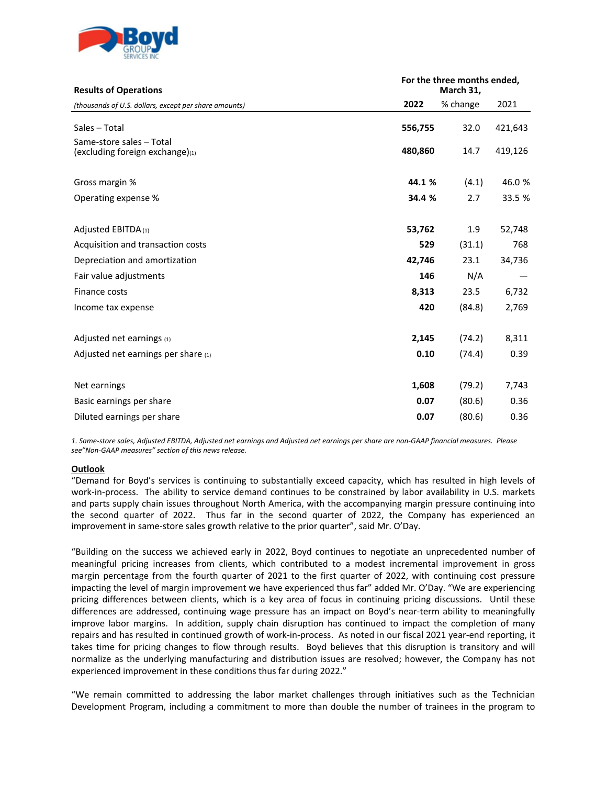

| <b>Results of Operations</b>                                | For the three months ended,<br>March 31, |          |         |
|-------------------------------------------------------------|------------------------------------------|----------|---------|
| (thousands of U.S. dollars, except per share amounts)       | 2022                                     | % change | 2021    |
| Sales - Total                                               | 556,755                                  | 32.0     | 421,643 |
| Same-store sales - Total<br>(excluding foreign exchange)(1) | 480,860                                  | 14.7     | 419,126 |
| Gross margin %                                              | 44.1 %                                   | (4.1)    | 46.0 %  |
| Operating expense %                                         | 34.4 %                                   | 2.7      | 33.5 %  |
| Adjusted EBITDA (1)                                         | 53,762                                   | 1.9      | 52,748  |
| Acquisition and transaction costs                           | 529                                      | (31.1)   | 768     |
| Depreciation and amortization                               | 42,746                                   | 23.1     | 34,736  |
| Fair value adjustments                                      | 146                                      | N/A      |         |
| Finance costs                                               | 8,313                                    | 23.5     | 6,732   |
| Income tax expense                                          | 420                                      | (84.8)   | 2,769   |
| Adjusted net earnings (1)                                   | 2,145                                    | (74.2)   | 8,311   |
| Adjusted net earnings per share $(1)$                       | 0.10                                     | (74.4)   | 0.39    |
| Net earnings                                                | 1,608                                    | (79.2)   | 7,743   |
| Basic earnings per share                                    | 0.07                                     | (80.6)   | 0.36    |
| Diluted earnings per share                                  | 0.07                                     | (80.6)   | 0.36    |

*1. Same-store sales, Adjusted EBITDA, Adjusted net earnings and Adjusted net earnings per share are non-GAAP financial measures. Please*  see"Non-GAAP measures" section of this news release.

## **Outlook**

"Demand for Boyd's services is continuing to substantially exceed capacity, which has resulted in high levels of work-in-process. The ability to service demand continues to be constrained by labor availability in U.S. markets and parts supply chain issues throughout North America, with the accompanying margin pressure continuing into the second quarter of 2022. Thus far in the second quarter of 2022, the Company has experienced an improvement in same-store sales growth relative to the prior quarter", said Mr. O'Day.

"Building on the success we achieved early in 2022, Boyd continues to negotiate an unprecedented number of meaningful pricing increases from clients, which contributed to a modest incremental improvement in gross margin percentage from the fourth quarter of 2021 to the first quarter of 2022, with continuing cost pressure impacting the level of margin improvement we have experienced thus far" added Mr. O'Day. "We are experiencing pricing differences between clients, which is a key area of focus in continuing pricing discussions. Until these differences are addressed, continuing wage pressure has an impact on Boyd's near-term ability to meaningfully improve labor margins. In addition, supply chain disruption has continued to impact the completion of many repairs and has resulted in continued growth of work-in-process. As noted in our fiscal 2021 year-end reporting, it takes time for pricing changes to flow through results. Boyd believes that this disruption is transitory and will normalize as the underlying manufacturing and distribution issues are resolved; however, the Company has not experienced improvement in these conditions thus far during 2022."

"We remain committed to addressing the labor market challenges through initiatives such as the Technician Development Program, including a commitment to more than double the number of trainees in the program to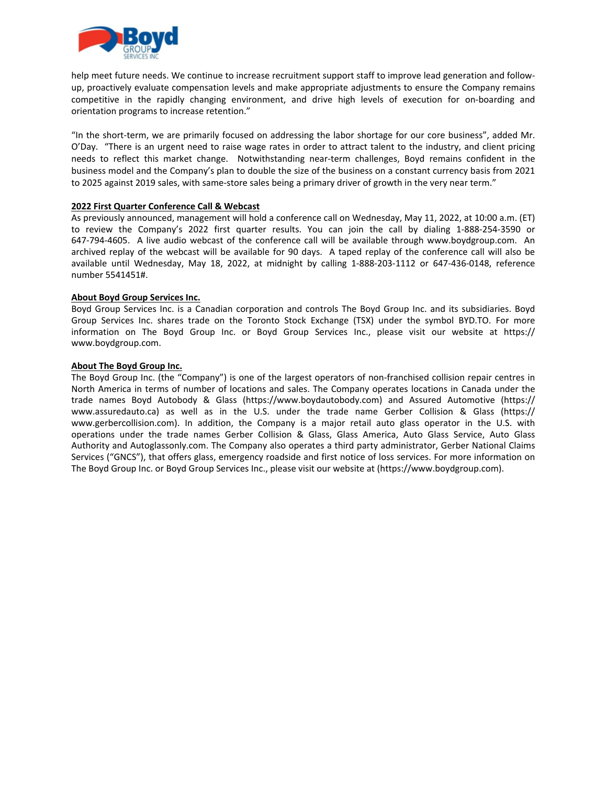

help meet future needs. We continue to increase recruitment support staff to improve lead generation and followup, proactively evaluate compensation levels and make appropriate adjustments to ensure the Company remains competitive in the rapidly changing environment, and drive high levels of execution for on-boarding and orientation programs to increase retention."

"In the short-term, we are primarily focused on addressing the labor shortage for our core business", added Mr. O'Day. "There is an urgent need to raise wage rates in order to attract talent to the industry, and client pricing needs to reflect this market change. Notwithstanding near-term challenges, Boyd remains confident in the business model and the Company's plan to double the size of the business on a constant currency basis from 2021 to 2025 against 2019 sales, with same-store sales being a primary driver of growth in the very near term."

## **2022 First Quarter Conference Call & Webcast**

As previously announced, management will hold a conference call on Wednesday, May 11, 2022, at 10:00 a.m. (ET) to review the Company's 2022 first quarter results. You can join the call by dialing 1-888-254-3590 or 647-794-4605. A live audio webcast of the conference call will be available through www.boydgroup.com. An archived replay of the webcast will be available for 90 days. A taped replay of the conference call will also be available until Wednesday, May 18, 2022, at midnight by calling 1-888-203-1112 or 647-436-0148, reference number 5541451#. 

## **About Boyd Group Services Inc.**

Boyd Group Services Inc. is a Canadian corporation and controls The Boyd Group Inc. and its subsidiaries. Boyd Group Services Inc. shares trade on the Toronto Stock Exchange (TSX) under the symbol BYD.TO. For more information on The Boyd Group Inc. or Boyd Group Services Inc., please visit our website at https:// www.boydgroup.com.

## **About The Boyd Group Inc.**

The Boyd Group Inc. (the "Company") is one of the largest operators of non-franchised collision repair centres in North America in terms of number of locations and sales. The Company operates locations in Canada under the trade names Boyd Autobody & Glass (https://www.boydautobody.com) and Assured Automotive (https:// www.assuredauto.ca) as well as in the U.S. under the trade name Gerber Collision & Glass (https:// www.gerbercollision.com). In addition, the Company is a major retail auto glass operator in the U.S. with operations under the trade names Gerber Collision & Glass, Glass America, Auto Glass Service, Auto Glass Authority and Autoglassonly.com. The Company also operates a third party administrator, Gerber National Claims Services ("GNCS"), that offers glass, emergency roadside and first notice of loss services. For more information on The Boyd Group Inc. or Boyd Group Services Inc., please visit our website at (https://www.boydgroup.com).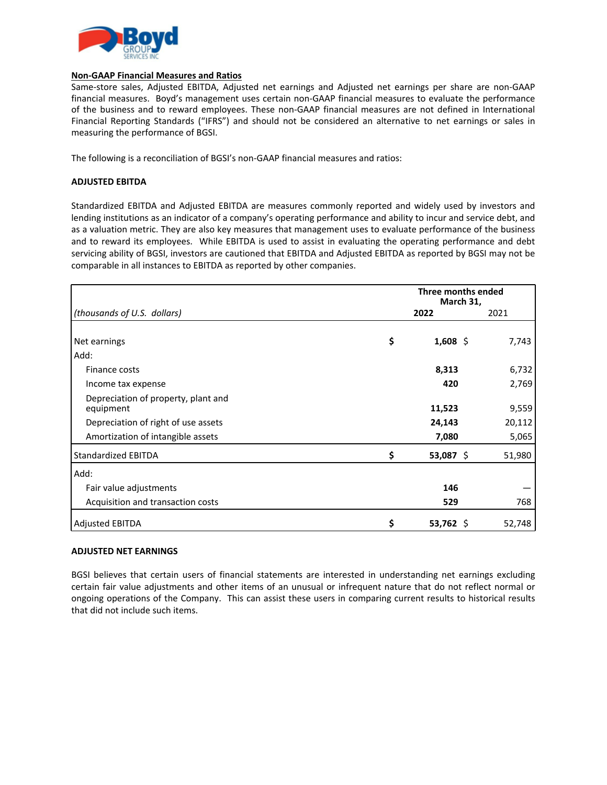

## **Non-GAAP Financial Measures and Ratios**

Same-store sales, Adjusted EBITDA, Adjusted net earnings and Adjusted net earnings per share are non-GAAP financial measures. Boyd's management uses certain non-GAAP financial measures to evaluate the performance of the business and to reward employees. These non-GAAP financial measures are not defined in International Financial Reporting Standards ("IFRS") and should not be considered an alternative to net earnings or sales in measuring the performance of BGSI.

The following is a reconciliation of BGSI's non-GAAP financial measures and ratios:

# **ADJUSTED EBITDA**

Standardized EBITDA and Adjusted EBITDA are measures commonly reported and widely used by investors and lending institutions as an indicator of a company's operating performance and ability to incur and service debt, and as a valuation metric. They are also key measures that management uses to evaluate performance of the business and to reward its employees. While EBITDA is used to assist in evaluating the operating performance and debt servicing ability of BGSI, investors are cautioned that EBITDA and Adjusted EBITDA as reported by BGSI may not be comparable in all instances to EBITDA as reported by other companies.

|                                                  | Three months ended<br>March 31, |             |        |
|--------------------------------------------------|---------------------------------|-------------|--------|
| (thousands of U.S. dollars)                      |                                 | 2022        | 2021   |
| Net earnings                                     | \$                              | $1,608$ \$  | 7,743  |
| Add:                                             |                                 |             |        |
| Finance costs                                    |                                 | 8,313       | 6,732  |
| Income tax expense                               |                                 | 420         | 2,769  |
| Depreciation of property, plant and<br>equipment |                                 | 11,523      | 9,559  |
| Depreciation of right of use assets              |                                 | 24,143      | 20,112 |
| Amortization of intangible assets                |                                 | 7,080       | 5,065  |
| <b>Standardized EBITDA</b>                       | \$                              | 53,087 \$   | 51,980 |
| Add:                                             |                                 |             |        |
| Fair value adjustments                           |                                 | 146         |        |
| Acquisition and transaction costs                |                                 | 529         | 768    |
| <b>Adjusted EBITDA</b>                           | \$                              | $53,762$ \$ | 52,748 |

## **ADJUSTED NET EARNINGS**

BGSI believes that certain users of financial statements are interested in understanding net earnings excluding certain fair value adjustments and other items of an unusual or infrequent nature that do not reflect normal or ongoing operations of the Company. This can assist these users in comparing current results to historical results that did not include such items.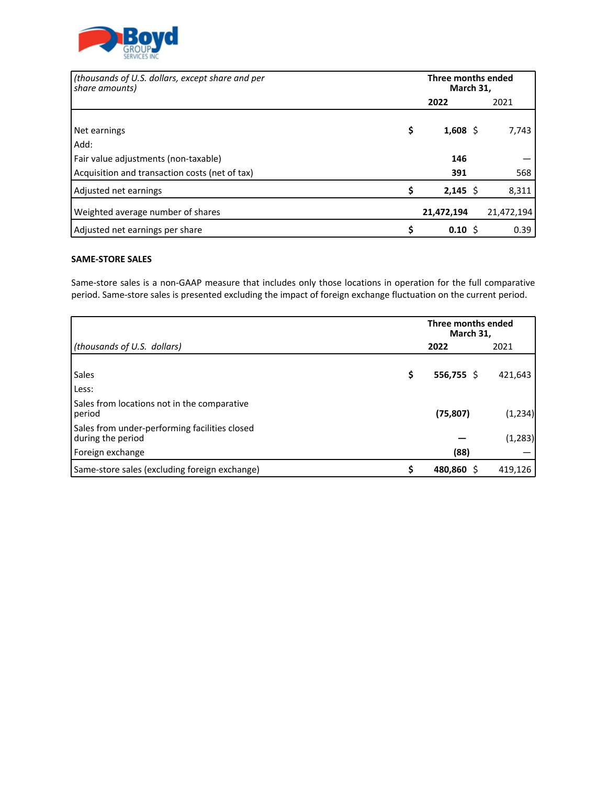

| (thousands of U.S. dollars, except share and per<br>share amounts)                     | Three months ended<br>March 31, |  |            |
|----------------------------------------------------------------------------------------|---------------------------------|--|------------|
|                                                                                        | 2022                            |  | 2021       |
| Net earnings<br>Add:                                                                   | \$<br>1,608 \$                  |  | 7,743      |
| Fair value adjustments (non-taxable)<br>Acquisition and transaction costs (net of tax) | 146<br>391                      |  | 568        |
| Adjusted net earnings                                                                  | \$<br>$2,145$ \$                |  | 8,311      |
| Weighted average number of shares                                                      | 21,472,194                      |  | 21,472,194 |
| Adjusted net earnings per share                                                        | \$<br>0.10 S                    |  | 0.39       |

# **SAME-STORE SALES**

Same-store sales is a non-GAAP measure that includes only those locations in operation for the full comparative period. Same-store sales is presented excluding the impact of foreign exchange fluctuation on the current period.

|                                                                    |    | Three months ended<br>March 31, |          |
|--------------------------------------------------------------------|----|---------------------------------|----------|
| (thousands of U.S. dollars)                                        |    | 2022                            | 2021     |
| <b>Sales</b><br>Less:                                              | \$ | $556,755$ \$                    | 421,643  |
| Sales from locations not in the comparative<br>period              |    | (75, 807)                       | (1, 234) |
| Sales from under-performing facilities closed<br>during the period |    |                                 | (1, 283) |
| Foreign exchange                                                   |    | (88)                            |          |
| Same-store sales (excluding foreign exchange)                      | Ś  | 480,860 \$                      | 419,126  |